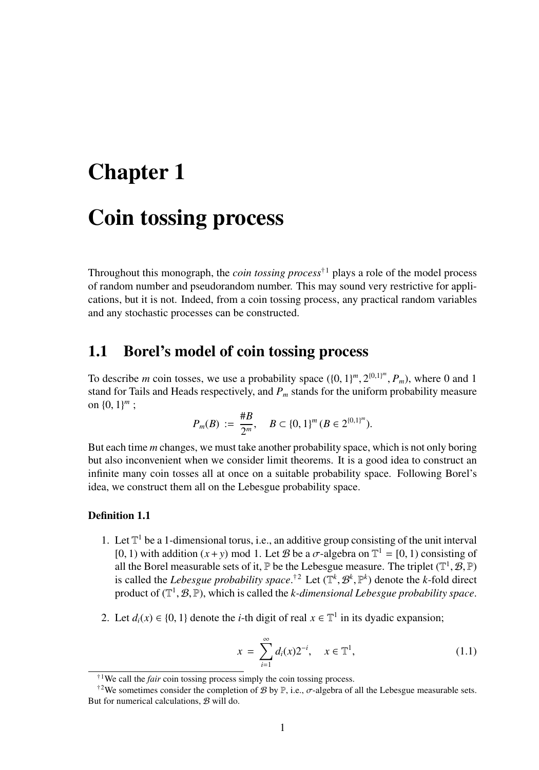# Chapter 1

# Coin tossing process

Throughout this monograph, the *coin tossing process*<sup>†1</sup> plays a role of the model process of random number and pseudorandom number. This may sound very restrictive for applications, but it is not. Indeed, from a coin tossing process, any practical random variables and any stochastic processes can be constructed.

## 1.1 Borel's model of coin tossing process

To describe *m* coin tosses, we use a probability space  $({0, 1}<sup>m</sup>, 2<sup>{0,1}<sup>m</sup>, P<sub>m</sub>)</sup>$ , where 0 and 1 stand for Tails and Heads respectively, and *P<sup>m</sup>* stands for the uniform probability measure on  $\{0, 1\}^m$ ;

$$
P_m(B) := \frac{\#B}{2^m}, \quad B \subset \{0,1\}^m \ (B \in 2^{\{0,1\}^m}).
$$

But each time *m* changes, we must take another probability space, which is not only boring but also inconvenient when we consider limit theorems. It is a good idea to construct an infinite many coin tosses all at once on a suitable probability space. Following Borel's idea, we construct them all on the Lebesgue probability space.

#### Definition 1.1

- 1. Let  $\mathbb{T}^1$  be a 1-dimensional torus, i.e., an additive group consisting of the unit interval [0, 1) with addition  $(x + y)$  mod 1. Let *B* be a  $\sigma$ -algebra on  $\mathbb{T}^1 = [0, 1)$  consisting of all the Borel measurable sets of it,  $\mathbb P$  be the Lebesgue measure. The triplet  $(\mathbb T^1,\mathcal B,\mathbb P)$ is called the *Lebesgue probability space*.<sup>†2</sup> Let  $(\mathbb{T}^k, \mathcal{B}^k, \mathbb{P}^k)$  denote the *k*-fold direct product of  $(\mathbb{T}^1, \mathcal{B}, \mathbb{P})$ , which is called the *k*-dimensional Lebesgue probability space.
- 2. Let  $d_i(x) \in \{0, 1\}$  denote the *i*-th digit of real  $x \in \mathbb{T}^1$  in its dyadic expansion;

$$
x = \sum_{i=1}^{\infty} d_i(x) 2^{-i}, \quad x \in \mathbb{T}^1,
$$
 (1.1)

<sup>&</sup>lt;sup>†1</sup>We call the *fair* coin tossing process simply the coin tossing process.

<sup>&</sup>lt;sup>†2</sup>We sometimes consider the completion of  $\mathcal{B}$  by  $\mathbb{P}$ , i.e.,  $\sigma$ -algebra of all the Lebesgue measurable sets. But for numerical calculations,  $B$  will do.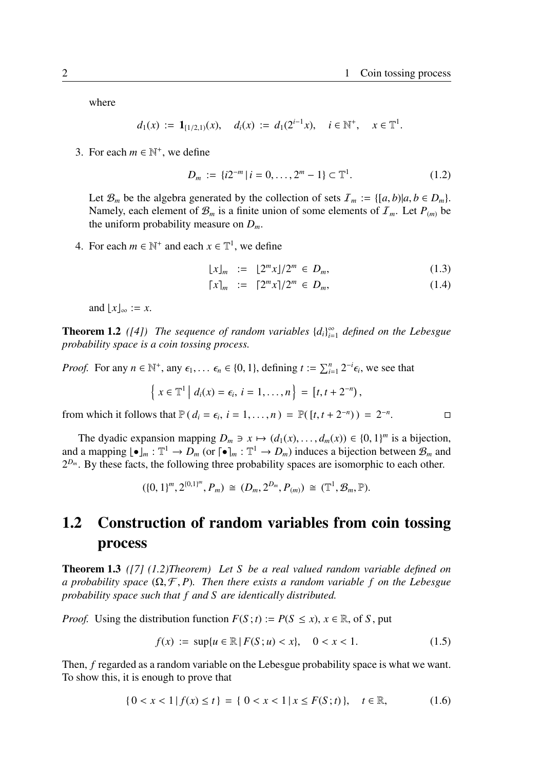$\Box$ 

where

$$
d_1(x) := \mathbf{1}_{[1/2,1)}(x), \quad d_i(x) := d_1(2^{i-1}x), \quad i \in \mathbb{N}^+, \quad x \in \mathbb{T}^1.
$$

3. For each  $m \in \mathbb{N}^+$ , we define

$$
D_m := \{ i2^{-m} \mid i = 0, \dots, 2^m - 1 \} \subset \mathbb{T}^1. \tag{1.2}
$$

Let  $\mathcal{B}_m$  be the algebra generated by the collection of sets  $\mathcal{I}_m := \{ [a, b] | a, b \in D_m \}$ . Namely, each element of  $\mathcal{B}_m$  is a finite union of some elements of  $\mathcal{I}_m$ . Let  $P_{(m)}$  be the uniform probability measure on *Dm*.

4. For each  $m \in \mathbb{N}^+$  and each  $x \in \mathbb{T}^1$ , we define

$$
\lfloor x \rfloor_m := \lfloor 2^m x \rfloor / 2^m \in D_m, \tag{1.3}
$$

$$
[x]_m := [2^m x]/2^m \in D_m, \tag{1.4}
$$

and  $|x|_{\infty} := x$ .

**Theorem 1.2** ([4]) The sequence of random variables  $\{d_i\}_{i=1}^{\infty}$  defined on the Lebesgue *probability space is a coin tossing process.*

*Proof.* For any  $n \in \mathbb{N}^+$ , any  $\epsilon_1, \ldots, \epsilon_n \in \{0, 1\}$ , defining  $t := \sum_{i=1}^n 2^{-i} \epsilon_i$ , we see that

$$
\left\{ x \in \mathbb{T}^1 \middle| d_i(x) = \epsilon_i, i = 1, ..., n \right\} = [t, t + 2^{-n}),
$$

from which it follows that  $\mathbb{P}(d_i = \epsilon_i, i = 1, ..., n) = \mathbb{P}([t, t + 2^{-n})) = 2^{-n}$ 

The dyadic expansion mapping  $D_m \ni x \mapsto (d_1(x), \dots, d_m(x)) \in \{0, 1\}^m$  is a bijection, and a mapping  $\lfloor \bullet \rfloor_m : \mathbb{T}^1 \to D_m$  (or  $\lceil \bullet \rceil_m : \mathbb{T}^1 \to D_m$ ) induces a bijection between  $\mathcal{B}_m$  and  $2^{D_m}$ . By these facts, the following three probability spaces are isomorphic to each other.

$$
(\{0,1\}^m, 2^{\{0,1\}^m}, P_m) \cong (D_m, 2^{D_m}, P_{(m)}) \cong (\mathbb{T}^1, \mathcal{B}_m, \mathbb{P}).
$$

# 1.2 Construction of random variables from coin tossing process

Theorem 1.3 *([7] (1.2)Theorem) Let S be a real valued random variable defined on a probability space*  $(\Omega, \mathcal{F}, P)$ . Then there exists a random variable f on the Lebesgue *probability space such that f and S are identically distributed.*

*Proof.* Using the distribution function  $F(S; t) := P(S \le x)$ ,  $x \in \mathbb{R}$ , of *S*, put

$$
f(x) := \sup\{u \in \mathbb{R} \mid F(S; u) < x\}, \quad 0 < x < 1. \tag{1.5}
$$

Then, *f* regarded as a random variable on the Lebesgue probability space is what we want. To show this, it is enough to prove that

$$
\{0 < x < 1 \mid f(x) \le t\} = \{0 < x < 1 \mid x \le F(S; t)\}, \quad t \in \mathbb{R},\tag{1.6}
$$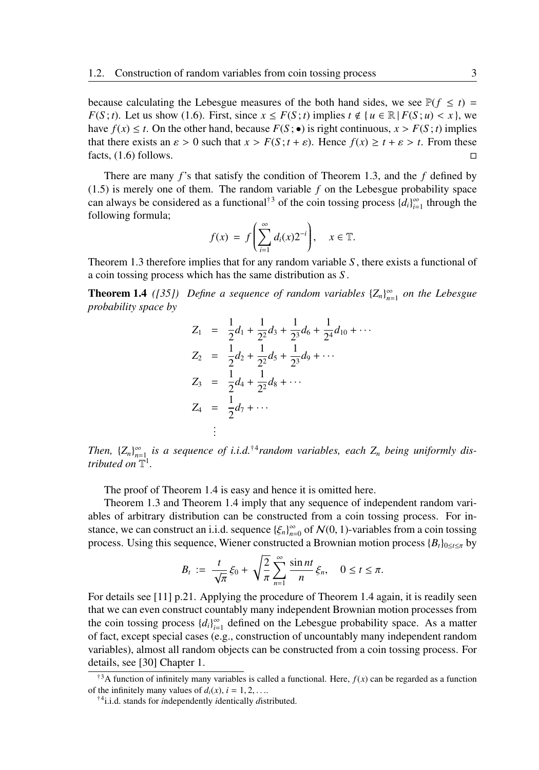because calculating the Lebesgue measures of the both hand sides, we see  $P(f \le t)$ *F*(*S*; *t*). Let us show (1.6). First, since  $x \leq F(S; t)$  implies  $t \notin \{u \in \mathbb{R} | F(S; u) < x\}$ , we have  $f(x) \leq t$ . On the other hand, because  $F(S; \bullet)$  is right continuous,  $x > F(S; t)$  implies that there exists an  $\varepsilon > 0$  such that  $x > F(S; t + \varepsilon)$ . Hence  $f(x) \ge t + \varepsilon > t$ . From these facts,  $(1.6)$  follows.  $\Box$ 

There are many *f*'s that satisfy the condition of Theorem 1.3, and the *f* defined by  $(1.5)$  is merely one of them. The random variable  $f$  on the Lebesgue probability space can always be considered as a functional<sup>†3</sup> of the coin tossing process  $\{d_i\}_{i=1}^{\infty}$  through the following formula;

$$
f(x) = f\left(\sum_{i=1}^{\infty} d_i(x) 2^{-i}\right), \quad x \in \mathbb{T}.
$$

Theorem 1.3 therefore implies that for any random variable *S* , there exists a functional of a coin tossing process which has the same distribution as *S* .

**Theorem 1.4** ([35]) Define a sequence of random variables  ${Z_n}_{n=1}^{\infty}$  on the Lebesgue *probability space by*

$$
Z_1 = \frac{1}{2}d_1 + \frac{1}{2^2}d_3 + \frac{1}{2^3}d_6 + \frac{1}{2^4}d_{10} + \cdots
$$
  
\n
$$
Z_2 = \frac{1}{2}d_2 + \frac{1}{2^2}d_5 + \frac{1}{2^3}d_9 + \cdots
$$
  
\n
$$
Z_3 = \frac{1}{2}d_4 + \frac{1}{2^2}d_8 + \cdots
$$
  
\n
$$
Z_4 = \frac{1}{2}d_7 + \cdots
$$
  
\n:

*Then,*  ${Z_n}_{n=1}^{\infty}$  *is a sequence of i.i.d.*<sup>†4</sup> *random variables, each*  $Z_n$  *being uniformly distributed on*  $\mathbb{T}^1$ .

The proof of Theorem 1.4 is easy and hence it is omitted here.

Theorem 1.3 and Theorem 1.4 imply that any sequence of independent random variables of arbitrary distribution can be constructed from a coin tossing process. For instance, we can construct an i.i.d. sequence  $\{\xi_n\}_{n=0}^{\infty}$  of  $\mathcal{N}(0, 1)$ -variables from a coin tossing process. Using this sequence, Wiener constructed a Brownian motion process  ${B_t}_{0 \le t \le \pi}$  by

$$
B_t := \frac{t}{\sqrt{\pi}} \xi_0 + \sqrt{\frac{2}{\pi}} \sum_{n=1}^{\infty} \frac{\sin nt}{n} \xi_n, \quad 0 \le t \le \pi.
$$

For details see [11] p.21. Applying the procedure of Theorem 1.4 again, it is readily seen that we can even construct countably many independent Brownian motion processes from the coin tossing process  $\{d_i\}_{i=1}^{\infty}$  defined on the Lebesgue probability space. As a matter of fact, except special cases (e.g., construction of uncountably many independent random variables), almost all random objects can be constructed from a coin tossing process. For details, see [30] Chapter 1.

<sup>&</sup>lt;sup>†3</sup>A function of infinitely many variables is called a functional. Here,  $f(x)$  can be regarded as a function of the infinitely many values of  $d_i(x)$ ,  $i = 1, 2, \ldots$ .

<sup>†</sup>4 i.i.d. stands for *i*ndependently *i*dentically *d*istributed.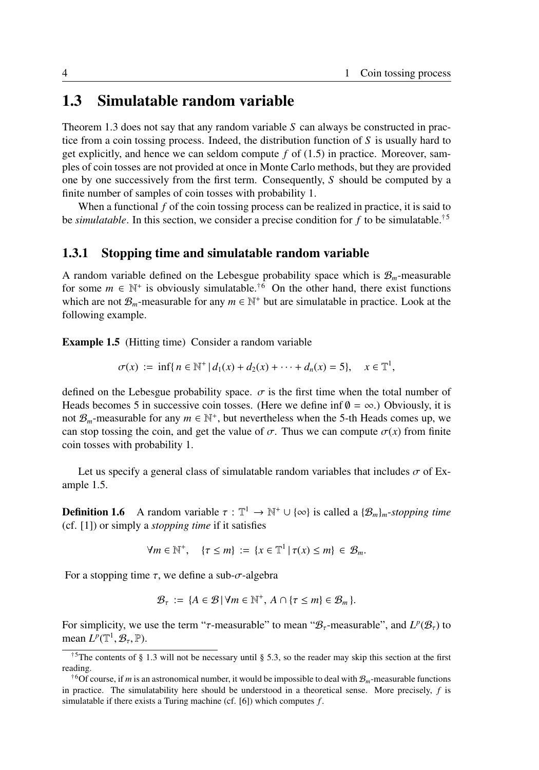## 1.3 Simulatable random variable

Theorem 1.3 does not say that any random variable *S* can always be constructed in practice from a coin tossing process. Indeed, the distribution function of  $S$  is usually hard to get explicitly, and hence we can seldom compute  $f$  of  $(1.5)$  in practice. Moreover, samples of coin tosses are not provided at once in Monte Carlo methods, but they are provided one by one successively from the first term. Consequently, *S* should be computed by a finite number of samples of coin tosses with probability 1.

When a functional *f* of the coin tossing process can be realized in practice, it is said to be *simulatable*. In this section, we consider a precise condition for f to be simulatable.<sup>†5</sup>

### 1.3.1 Stopping time and simulatable random variable

A random variable defined on the Lebesgue probability space which is  $\mathcal{B}_m$ -measurable for some  $m \in \mathbb{N}^+$  is obviously simulatable.<sup>†6</sup> On the other hand, there exist functions which are not  $\mathcal{B}_m$ -measurable for any  $m \in \mathbb{N}^+$  but are simulatable in practice. Look at the following example.

Example 1.5 (Hitting time) Consider a random variable

$$
\sigma(x) := \inf\{n \in \mathbb{N}^+ | d_1(x) + d_2(x) + \cdots + d_n(x) = 5\}, \quad x \in \mathbb{T}^1,
$$

defined on the Lebesgue probability space.  $\sigma$  is the first time when the total number of Heads becomes 5 in successive coin tosses. (Here we define inf  $\theta = \infty$ .) Obviously, it is not  $\mathcal{B}_m$ -measurable for any  $m \in \mathbb{N}^+$ , but nevertheless when the 5-th Heads comes up, we can stop tossing the coin, and get the value of  $\sigma$ . Thus we can compute  $\sigma(x)$  from finite coin tosses with probability 1.

Let us specify a general class of simulatable random variables that includes  $\sigma$  of Example 1.5.

**Definition 1.6** A random variable  $\tau : \mathbb{T}^1 \to \mathbb{N}^+ \cup \{\infty\}$  is called a  $\{\mathcal{B}_m\}_m$ -stopping time (cf. [1]) or simply a *stopping time* if it satisfies

$$
\forall m \in \mathbb{N}^+, \quad \{\tau \leq m\} := \{\mathbf{x} \in \mathbb{T}^1 \mid \tau(\mathbf{x}) \leq m\} \in \mathcal{B}_m.
$$

For a stopping time  $\tau$ , we define a sub- $\sigma$ -algebra

$$
\mathcal{B}_{\tau} := \{ A \in \mathcal{B} \, | \, \forall m \in \mathbb{N}^+, A \cap \{ \tau \leq m \} \in \mathcal{B}_m \}.
$$

For simplicity, we use the term " $\tau$ -measurable" to mean " $\mathcal{B}_{\tau}$ -measurable", and  $L^p(\mathcal{B}_{\tau})$  to mean  $L^p(\mathbb{T}^1, \mathcal{B}_\tau, \mathbb{P})$ .

<sup>&</sup>lt;sup>†5</sup>The contents of § 1.3 will not be necessary until § 5.3, so the reader may skip this section at the first reading.

<sup>†</sup><sup>6</sup>Of course, if *m* is an astronomical number, it would be impossible to deal with B*m*-measurable functions in practice. The simulatability here should be understood in a theoretical sense. More precisely, *f* is simulatable if there exists a Turing machine (cf. [6]) which computes *f* .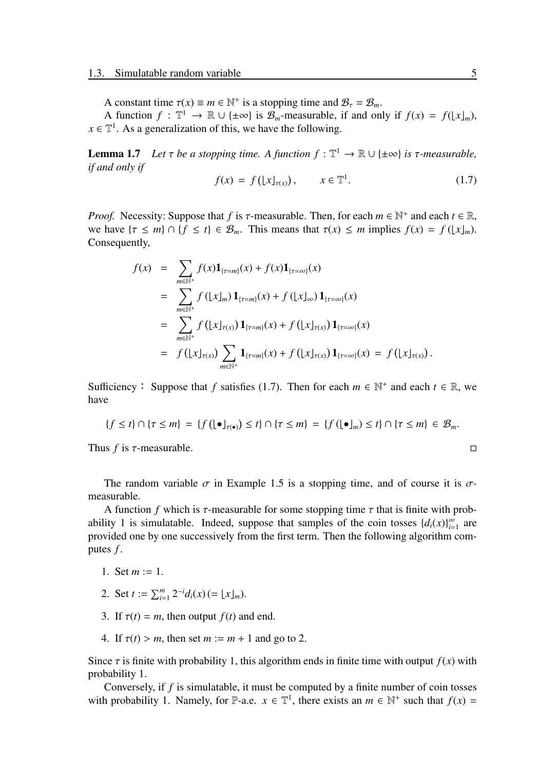A constant time  $\tau(x) \equiv m \in \mathbb{N}^+$  is a stopping time and  $\mathcal{B}_{\tau} = \mathcal{B}_m$ .

A function  $f: \mathbb{T}^1 \to \mathbb{R} \cup \{\pm \infty\}$  is  $\mathcal{B}_m$ -measurable, if and only if  $f(x) = f(\lfloor x \rfloor_m)$ ,  $x \in \mathbb{T}^1$ . As a generalization of this, we have the following.

**Lemma 1.7** *Let*  $\tau$  *be a stopping time. A function*  $f : \mathbb{T}^1 \to \mathbb{R} \cup \{\pm \infty\}$  *is*  $\tau$ *-measurable, if and only if*

$$
f(x) = f\left(\lfloor x \rfloor_{\tau(x)}\right), \qquad x \in \mathbb{T}^1. \tag{1.7}
$$

*Proof.* Necessity: Suppose that *f* is  $\tau$ -measurable. Then, for each  $m \in \mathbb{N}^+$  and each  $t \in \mathbb{R}$ , we have  $\{\tau \leq m\} \cap \{f \leq t\} \in \mathcal{B}_m$ . This means that  $\tau(x) \leq m$  implies  $f(x) = f(|x|_m)$ . Consequently,

$$
f(x) = \sum_{m \in \mathbb{N}^+} f(x) \mathbf{1}_{\{\tau = m\}}(x) + f(x) \mathbf{1}_{\{\tau = \infty\}}(x)
$$
  
\n
$$
= \sum_{m \in \mathbb{N}^+} f(|x|_m) \mathbf{1}_{\{\tau = m\}}(x) + f(|x|_{\infty}) \mathbf{1}_{\{\tau = \infty\}}(x)
$$
  
\n
$$
= \sum_{m \in \mathbb{N}^+} f(|x|_{\tau(x)}) \mathbf{1}_{\{\tau = m\}}(x) + f(|x|_{\tau(x)}) \mathbf{1}_{\{\tau = \infty\}}(x)
$$
  
\n
$$
= f(|x|_{\tau(x)}) \sum_{m \in \mathbb{N}^+} \mathbf{1}_{\{\tau = m\}}(x) + f(|x|_{\tau(x)}) \mathbf{1}_{\{\tau = \infty\}}(x) = f(|x|_{\tau(x)}) .
$$

Sufficiency: Suppose that *f* satisfies (1.7). Then for each  $m \in \mathbb{N}^+$  and each  $t \in \mathbb{R}$ , we have

$$
\{f \leq t\} \cap \{\tau \leq m\} = \{f\left(\lfloor \bullet \rfloor_{\tau(\bullet)}\right) \leq t\} \cap \{\tau \leq m\} = \{f\left(\lfloor \bullet \rfloor_m\right) \leq t\} \cap \{\tau \leq m\} \in \mathcal{B}_m.
$$

Thus *f* is  $\tau$ -measurable.  $\Box$ 

The random variable  $\sigma$  in Example 1.5 is a stopping time, and of course it is  $\sigma$ measurable.

A function *f* which is  $\tau$ -measurable for some stopping time  $\tau$  that is finite with probability 1 is simulatable. Indeed, suppose that samples of the coin tosses  $\{d_i(x)\}_{i=1}^{\infty}$  are provided one by one successively from the first term. Then the following algorithm computes *f* .

- 1. Set  $m := 1$ .
- 2. Set  $t := \sum_{i=1}^{m} 2^{-i} d_i(x) (= \lfloor x \rfloor_m)$ .
- 3. If  $\tau(t) = m$ , then output  $f(t)$  and end.
- 4. If  $\tau(t) > m$ , then set  $m := m + 1$  and go to 2.

Since  $\tau$  is finite with probability 1, this algorithm ends in finite time with output  $f(x)$  with probability 1.

Conversely, if *f* is simulatable, it must be computed by a finite number of coin tosses with probability 1. Namely, for P-a.e.  $x \in \mathbb{T}^1$ , there exists an  $m \in \mathbb{N}^+$  such that  $f(x) =$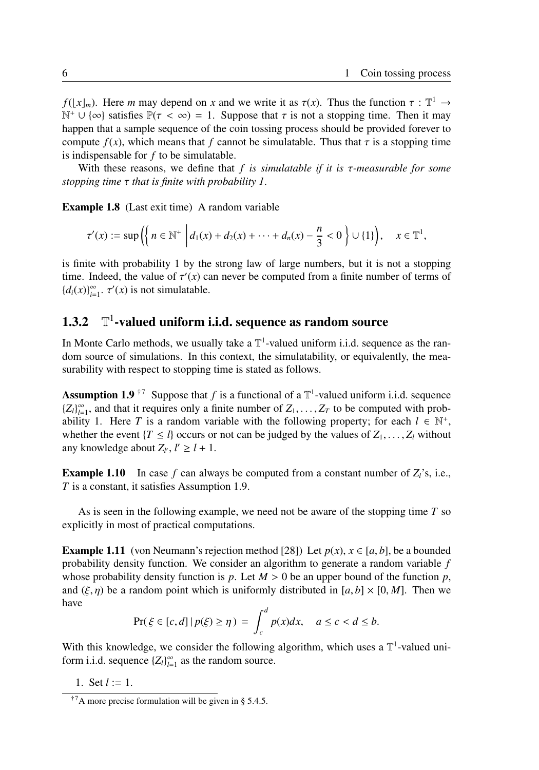*f*( $\lfloor x \rfloor_m$ ). Here *m* may depend on *x* and we write it as  $\tau(x)$ . Thus the function  $\tau : \mathbb{T}^1 \to$  $\mathbb{N}^+ \cup \{ \infty \}$  satisfies  $\mathbb{P}(\tau < \infty) = 1$ . Suppose that  $\tau$  is not a stopping time. Then it may happen that a sample sequence of the coin tossing process should be provided forever to compute  $f(x)$ , which means that f cannot be simulatable. Thus that  $\tau$  is a stopping time is indispensable for *f* to be simulatable.

With these reasons, we define that *f is simulatable if it is* τ*-measurable for some stopping time* τ *that is finite with probability 1*.

Example 1.8 (Last exit time) A random variable

$$
\tau'(x) := \sup\left(\left\{n \in \mathbb{N}^+\middle| d_1(x) + d_2(x) + \cdots + d_n(x) - \frac{n}{3} < 0\right\} \cup \{1\}\right), \quad x \in \mathbb{T}^1,
$$

is finite with probability 1 by the strong law of large numbers, but it is not a stopping time. Indeed, the value of  $\tau'(x)$  can never be computed from a finite number of terms of  ${d_i(x)}_{i=1}^{\infty}$ .  $\tau'(x)$  is not simulatable.

#### $1.3.2$ <sup>1</sup>-valued uniform i.i.d. sequence as random source

In Monte Carlo methods, we usually take a  $\mathbb{T}^1$ -valued uniform i.i.d. sequence as the random source of simulations. In this context, the simulatability, or equivalently, the measurability with respect to stopping time is stated as follows.

**Assumption 1.9**<sup>†7</sup> Suppose that *f* is a functional of a  $\mathbb{T}^1$ -valued uniform i.i.d. sequence  ${Z_l}_{l=1}^{\infty}$ , and that it requires only a finite number of  $Z_1, \ldots, Z_T$  to be computed with probability 1. Here *T* is a random variable with the following property; for each  $l \in \mathbb{N}^+$ , whether the event  ${T \leq l}$  occurs or not can be judged by the values of  $Z_1, \ldots, Z_l$  without any knowledge about  $Z_{l'}$ ,  $l' \geq l + 1$ .

**Example 1.10** In case  $f$  can always be computed from a constant number of  $Z_i$ 's, i.e., *T* is a constant, it satisfies Assumption 1.9.

As is seen in the following example, we need not be aware of the stopping time *T* so explicitly in most of practical computations.

**Example 1.11** (von Neumann's rejection method [28]) Let  $p(x)$ ,  $x \in [a, b]$ , be a bounded probability density function. We consider an algorithm to generate a random variable *f* whose probability density function is *p*. Let  $M > 0$  be an upper bound of the function *p*, and  $(\xi, \eta)$  be a random point which is uniformly distributed in [a, b]  $\times$  [0, M]. Then we have

$$
\Pr(\xi \in [c, d] \mid p(\xi) \ge \eta) = \int_c^d p(x) dx, \quad a \le c < d \le b.
$$

With this knowledge, we consider the following algorithm, which uses a  $\mathbb{T}^1$ -valued uniform i.i.d. sequence  ${Z_l}_{l=1}^{\infty}$  as the random source.

1. Set *l* := 1.

<sup>&</sup>lt;sup>†7</sup>A more precise formulation will be given in § 5.4.5.